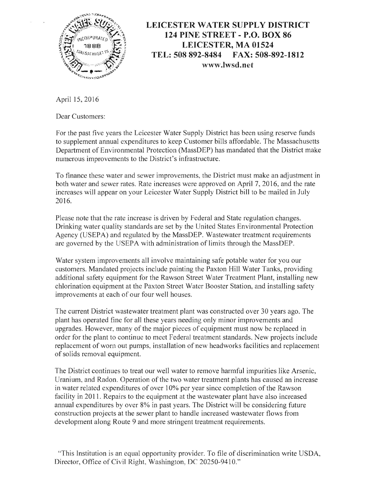

## **LEICESTER WATER SUPPLY DISTRICT 124 PINE STREET - P.O. BOX 86 LEICESTER, MA 01524 TEL: 508892-8484 FAX: 508-892-1812** www.lwsd.net

April 15, 2016

Dear Customers:

For the past five years the Leicester Water Supply District has been using reserve funds to supplement annual expenditures to keep Customer bills affordable. The Massachusetts Department of Environmental Protection (MassDEP) has mandated that the District make numerous improvements to the District's infrastructure.

To finance these water and sewer improvements, the District must make an adjustment in both water and sewer rates. Rate increases were approved on April 7, 2016, and the rate increases will appear on your Leicester Water Supply District bill to be mailed in July 2016.

Please note that the rate increase is driven by Federal and State regulation changes. Drinking water quality standards are set by the United States Environmental Protection Agency (USEPA) and regulated by the MassDEP. Wastewater treatment requirements are governed by the USEPA with administration of limits through the MassDEP.

Water system improvements all involve maintaining safe potable water for you our customers. Mandated projects include painting the Paxton Hill Water Tanks, providing additional safety equipment for the Rawson Street Water Treatment Plant, installing new chlorination equipment at the Paxton Street Water Booster Station, and installing safety improvements at each of our four well houses.

The current District wastewater treatment plant was constructed over 30 years ago. The plant has operated fine for all these years needing only minor improvements and upgrades. However, many of the major pieces of equipment must now be replaced in order for the plant to continue to meet Federal treatment standards. New projects include replacement of worn out pumps, installation of new headworks facilities and replacement of solids removal equipment.

The District continues to treat our well water to remove harmful impurities like Arsenic, Uranium, and Radon. Operation of the two water treatment plants has caused an increase in water related expenditures of over 10% per year since completion of the Rawson facility in 2011. Repairs to the equipment at the wastewater plant have also increased annual expenditures by over 8% in past years. The District will be considering future construction projects at the sewer plant to handle increased wastewater flows from development along Route 9 and more stringent treatment requirements.

"This Institution is an equal opportunity provider. To file of discrimination write USDA, Director, Office of Civil Right, Washington, DC 20250-9410."